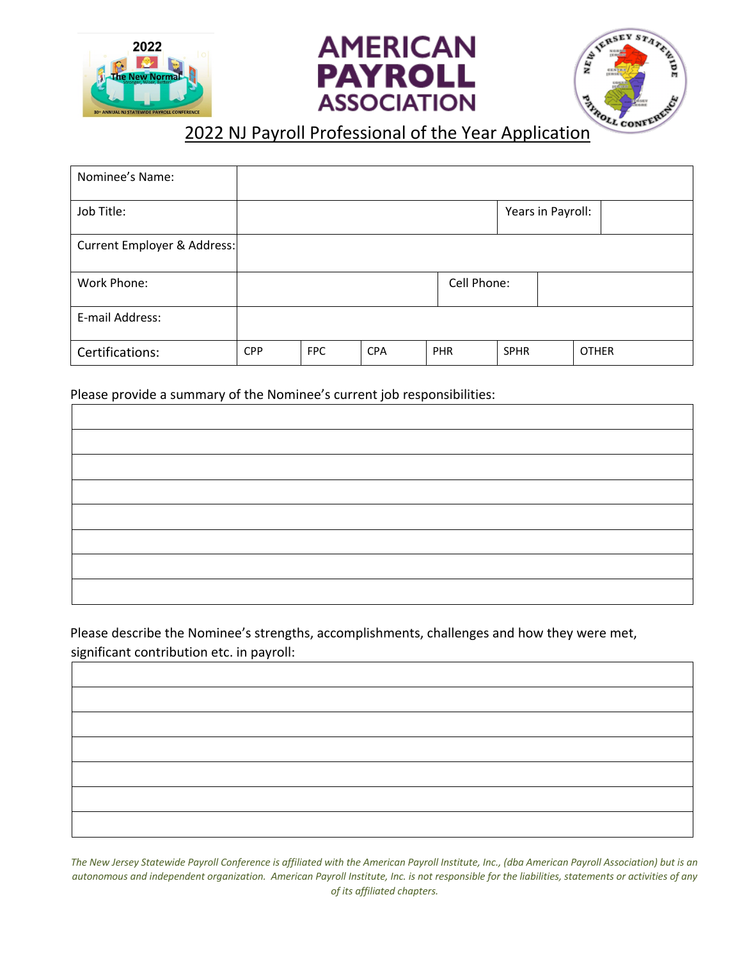





## **2022 NJ Payroll Professional of the Year Application**

| Nominee's Name:             |            |            |            |             |                   |              |
|-----------------------------|------------|------------|------------|-------------|-------------------|--------------|
| Job Title:                  |            |            |            |             | Years in Payroll: |              |
| Current Employer & Address: |            |            |            |             |                   |              |
| Work Phone:                 |            |            |            | Cell Phone: |                   |              |
| E-mail Address:             |            |            |            |             |                   |              |
| Certifications:             | <b>CPP</b> | <b>FPC</b> | <b>CPA</b> | PHR         | <b>SPHR</b>       | <b>OTHER</b> |

Please provide a summary of the Nominee's current job responsibilities:

Please describe the Nominee's strengths, accomplishments, challenges and how they were met, significant contribution etc. in payroll:

*The New Jersey Statewide Payroll Conference is affiliated with the American Payroll Institute, Inc., (dba American Payroll Association) but is an autonomous and independent organization. American Payroll Institute, Inc. is not responsible for the liabilities, statements or activities of any of its affiliated chapters.*